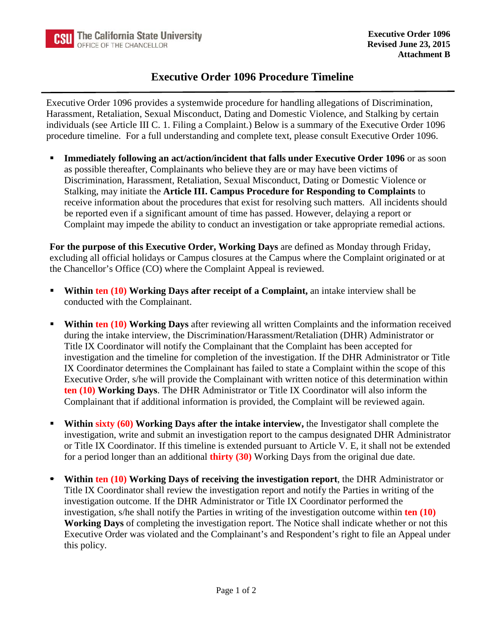## **Executive Order 1096 Procedure Timeline**

Executive Order 1096 provides a systemwide procedure for handling allegations of Discrimination, Harassment, Retaliation, Sexual Misconduct, Dating and Domestic Violence, and Stalking by certain individuals (see Article III C. 1. Filing a Complaint.) Below is a summary of the Executive Order 1096 procedure timeline. For a full understanding and complete text, please consult Executive Order 1096.

**Immediately following an act/action/incident that falls under Executive Order 1096** or as soon as possible thereafter, Complainants who believe they are or may have been victims of Discrimination, Harassment, Retaliation, Sexual Misconduct, Dating or Domestic Violence or Stalking, may initiate the **Article III. Campus Procedure for Responding to Complaints** to receive information about the procedures that exist for resolving such matters. All incidents should be reported even if a significant amount of time has passed. However, delaying a report or Complaint may impede the ability to conduct an investigation or take appropriate remedial actions.

**For the purpose of this Executive Order, Working Days** are defined as Monday through Friday, excluding all official holidays or Campus closures at the Campus where the Complaint originated or at the Chancellor's Office (CO) where the Complaint Appeal is reviewed.

- **Within ten (10) Working Days after receipt of a Complaint,** an intake interview shall be conducted with the Complainant.
- **Within ten (10) Working Days** after reviewing all written Complaints and the information received during the intake interview, the Discrimination/Harassment/Retaliation (DHR) Administrator or Title IX Coordinator will notify the Complainant that the Complaint has been accepted for investigation and the timeline for completion of the investigation. If the DHR Administrator or Title IX Coordinator determines the Complainant has failed to state a Complaint within the scope of this Executive Order, s/he will provide the Complainant with written notice of this determination within **ten (10) Working Days**. The DHR Administrator or Title IX Coordinator will also inform the Complainant that if additional information is provided, the Complaint will be reviewed again.
- **Within sixty (60) Working Days after the intake interview, the Investigator shall complete the** investigation, write and submit an investigation report to the campus designated DHR Administrator or Title IX Coordinator. If this timeline is extended pursuant to Article V. E, it shall not be extended for a period longer than an additional **thirty (30)** Working Days from the original due date.
- **Within ten (10) Working Days of receiving the investigation report**, the DHR Administrator or Title IX Coordinator shall review the investigation report and notify the Parties in writing of the investigation outcome. If the DHR Administrator or Title IX Coordinator performed the investigation, s/he shall notify the Parties in writing of the investigation outcome within **ten (10) Working Days** of completing the investigation report. The Notice shall indicate whether or not this Executive Order was violated and the Complainant's and Respondent's right to file an Appeal under this policy.